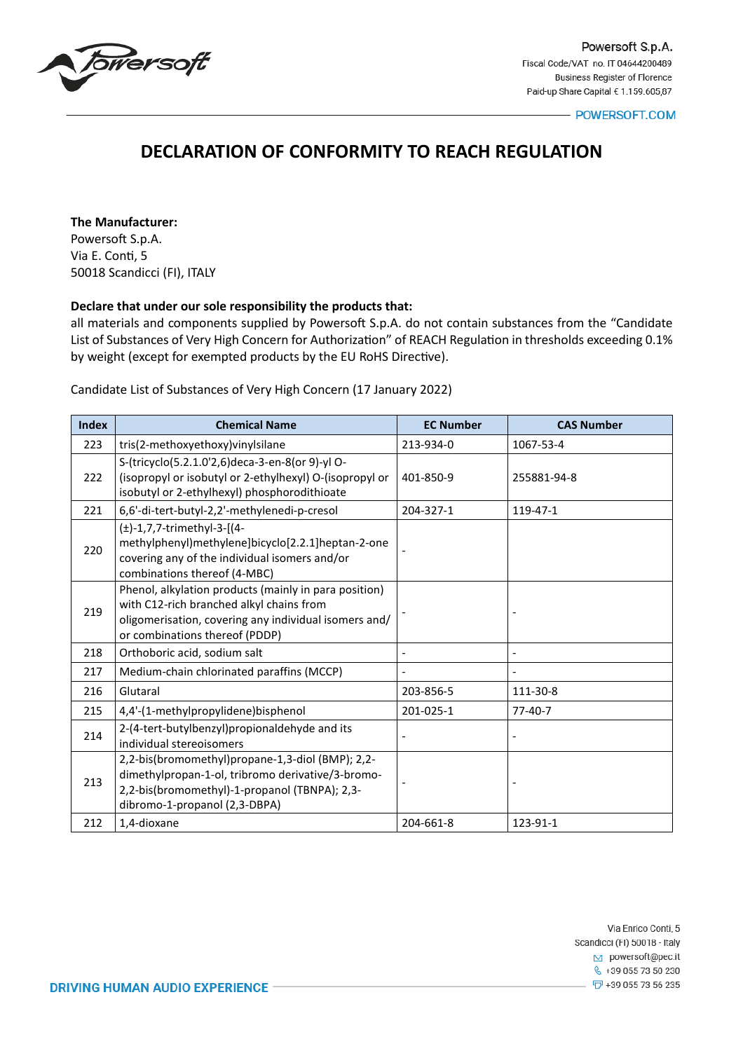

- POWERSOFT.COM

# **DECLARATION OF CONFORMITY TO REACH REGULATION**

**The Manufacturer:**

Powersoft S.p.A. Via E. Conti, 5 50018 Scandicci (FI), ITALY

# **Declare that under our sole responsibility the products that:**

all materials and components supplied by Powersoft S.p.A. do not contain substances from the "Candidate List of Substances of Very High Concern for Authorization" of REACH Regulation in thresholds exceeding 0.1% by weight (except for exempted products by the EU RoHS Directive).

Candidate List of Substances of Very High Concern (17 January 2022)

| <b>Index</b> | <b>Chemical Name</b>                                                                                                                                                                         | <b>EC Number</b> | <b>CAS Number</b> |
|--------------|----------------------------------------------------------------------------------------------------------------------------------------------------------------------------------------------|------------------|-------------------|
| 223          | tris(2-methoxyethoxy)vinylsilane                                                                                                                                                             | 213-934-0        | 1067-53-4         |
| 222          | S-(tricyclo(5.2.1.0'2,6)deca-3-en-8(or 9)-yl O-<br>(isopropyl or isobutyl or 2-ethylhexyl) O-(isopropyl or<br>isobutyl or 2-ethylhexyl) phosphorodithioate                                   | 401-850-9        | 255881-94-8       |
| 221          | 6,6'-di-tert-butyl-2,2'-methylenedi-p-cresol                                                                                                                                                 | 204-327-1        | 119-47-1          |
| 220          | $(\pm)$ -1,7,7-trimethyl-3-[(4-<br>methylphenyl)methylene]bicyclo[2.2.1]heptan-2-one<br>covering any of the individual isomers and/or<br>combinations thereof (4-MBC)                        |                  |                   |
| 219          | Phenol, alkylation products (mainly in para position)<br>with C12-rich branched alkyl chains from<br>oligomerisation, covering any individual isomers and/<br>or combinations thereof (PDDP) |                  |                   |
| 218          | Orthoboric acid, sodium salt                                                                                                                                                                 |                  |                   |
| 217          | Medium-chain chlorinated paraffins (MCCP)                                                                                                                                                    |                  |                   |
| 216          | Glutaral                                                                                                                                                                                     | 203-856-5        | 111-30-8          |
| 215          | 4,4'-(1-methylpropylidene)bisphenol                                                                                                                                                          | 201-025-1        | $77 - 40 - 7$     |
| 214          | 2-(4-tert-butylbenzyl)propionaldehyde and its<br>individual stereoisomers                                                                                                                    |                  |                   |
| 213          | 2,2-bis(bromomethyl)propane-1,3-diol (BMP); 2,2-<br>dimethylpropan-1-ol, tribromo derivative/3-bromo-<br>2,2-bis(bromomethyl)-1-propanol (TBNPA); 2,3-<br>dibromo-1-propanol (2,3-DBPA)      |                  |                   |
| 212          | 1,4-dioxane                                                                                                                                                                                  | 204-661-8        | 123-91-1          |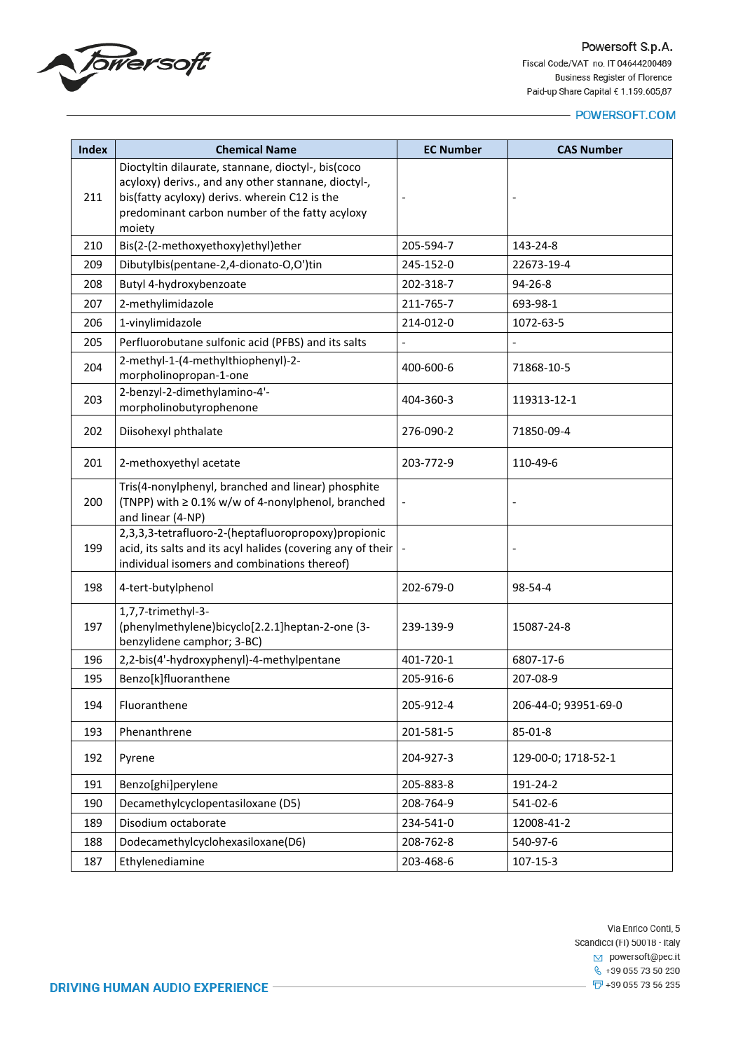

# - POWERSOFT.COM

| <b>Index</b> | <b>Chemical Name</b>                                                                                                                                                                                                   | <b>EC Number</b> | <b>CAS Number</b>    |
|--------------|------------------------------------------------------------------------------------------------------------------------------------------------------------------------------------------------------------------------|------------------|----------------------|
| 211          | Dioctyltin dilaurate, stannane, dioctyl-, bis(coco<br>acyloxy) derivs., and any other stannane, dioctyl-,<br>bis(fatty acyloxy) derivs. wherein C12 is the<br>predominant carbon number of the fatty acyloxy<br>moiety |                  |                      |
| 210          | Bis(2-(2-methoxyethoxy)ethyl)ether                                                                                                                                                                                     | 205-594-7        | 143-24-8             |
| 209          | Dibutylbis(pentane-2,4-dionato-O,O')tin                                                                                                                                                                                | 245-152-0        | 22673-19-4           |
| 208          | Butyl 4-hydroxybenzoate                                                                                                                                                                                                | 202-318-7        | 94-26-8              |
| 207          | 2-methylimidazole                                                                                                                                                                                                      | 211-765-7        | 693-98-1             |
| 206          | 1-vinylimidazole                                                                                                                                                                                                       | 214-012-0        | 1072-63-5            |
| 205          | Perfluorobutane sulfonic acid (PFBS) and its salts                                                                                                                                                                     |                  |                      |
| 204          | 2-methyl-1-(4-methylthiophenyl)-2-<br>morpholinopropan-1-one                                                                                                                                                           | 400-600-6        | 71868-10-5           |
| 203          | 2-benzyl-2-dimethylamino-4'-<br>morpholinobutyrophenone                                                                                                                                                                | 404-360-3        | 119313-12-1          |
| 202          | Diisohexyl phthalate                                                                                                                                                                                                   | 276-090-2        | 71850-09-4           |
| 201          | 2-methoxyethyl acetate                                                                                                                                                                                                 | 203-772-9        | 110-49-6             |
| 200          | Tris(4-nonylphenyl, branched and linear) phosphite<br>(TNPP) with ≥ 0.1% w/w of 4-nonylphenol, branched<br>and linear (4-NP)                                                                                           |                  |                      |
| 199          | 2,3,3,3-tetrafluoro-2-(heptafluoropropoxy)propionic<br>acid, its salts and its acyl halides (covering any of their<br>individual isomers and combinations thereof)                                                     |                  |                      |
| 198          | 4-tert-butylphenol                                                                                                                                                                                                     | 202-679-0        | 98-54-4              |
| 197          | 1,7,7-trimethyl-3-<br>(phenylmethylene)bicyclo[2.2.1]heptan-2-one (3-<br>benzylidene camphor; 3-BC)                                                                                                                    | 239-139-9        | 15087-24-8           |
| 196          | 2,2-bis(4'-hydroxyphenyl)-4-methylpentane                                                                                                                                                                              | 401-720-1        | 6807-17-6            |
| 195          | Benzo[k]fluoranthene                                                                                                                                                                                                   | 205-916-6        | 207-08-9             |
| 194          | Fluoranthene                                                                                                                                                                                                           | 205-912-4        | 206-44-0; 93951-69-0 |
| 193          | Phenanthrene                                                                                                                                                                                                           | 201-581-5        | 85-01-8              |
| 192          | Pyrene                                                                                                                                                                                                                 | 204-927-3        | 129-00-0; 1718-52-1  |
| 191          | Benzo[ghi]perylene                                                                                                                                                                                                     | 205-883-8        | 191-24-2             |
| 190          | Decamethylcyclopentasiloxane (D5)                                                                                                                                                                                      | 208-764-9        | 541-02-6             |
| 189          | Disodium octaborate                                                                                                                                                                                                    | 234-541-0        | 12008-41-2           |
| 188          | Dodecamethylcyclohexasiloxane(D6)                                                                                                                                                                                      | 208-762-8        | 540-97-6             |
| 187          | Ethylenediamine                                                                                                                                                                                                        | 203-468-6        | 107-15-3             |

Via Enrico Conti, 5 Scandicci (FI) 50018 - Italy  $\boxed{\smash{\sim}}$  powersoft@pec.it  $\frac{1}{2}$  +39 055 73 50 230  $-\sqrt{2}$  +39 055 73 56 235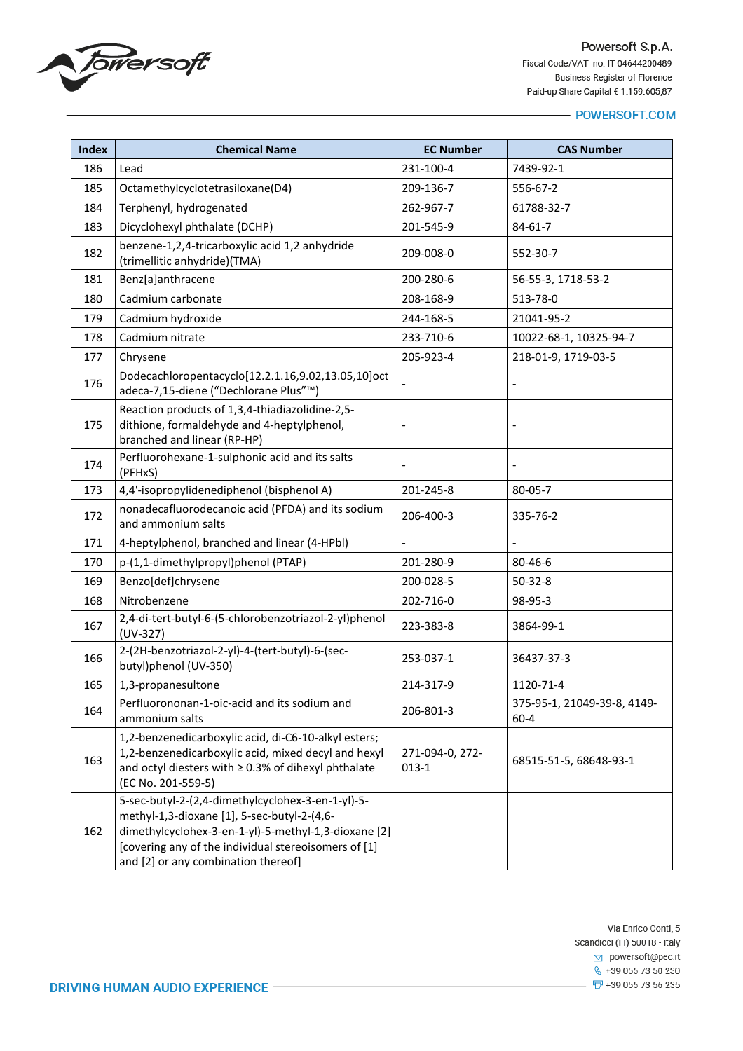

| <b>Index</b> | <b>Chemical Name</b>                                                                                                                                                                                                                                    | <b>EC Number</b>           | <b>CAS Number</b>                       |
|--------------|---------------------------------------------------------------------------------------------------------------------------------------------------------------------------------------------------------------------------------------------------------|----------------------------|-----------------------------------------|
| 186          | Lead                                                                                                                                                                                                                                                    | 231-100-4                  | 7439-92-1                               |
| 185          | Octamethylcyclotetrasiloxane(D4)                                                                                                                                                                                                                        | 209-136-7                  | 556-67-2                                |
| 184          | Terphenyl, hydrogenated                                                                                                                                                                                                                                 | 262-967-7                  | 61788-32-7                              |
| 183          | Dicyclohexyl phthalate (DCHP)                                                                                                                                                                                                                           | 201-545-9                  | $84 - 61 - 7$                           |
| 182          | benzene-1,2,4-tricarboxylic acid 1,2 anhydride<br>(trimellitic anhydride)(TMA)                                                                                                                                                                          | 209-008-0                  | 552-30-7                                |
| 181          | Benz[a]anthracene                                                                                                                                                                                                                                       | 200-280-6                  | 56-55-3, 1718-53-2                      |
| 180          | Cadmium carbonate                                                                                                                                                                                                                                       | 208-168-9                  | 513-78-0                                |
| 179          | Cadmium hydroxide                                                                                                                                                                                                                                       | 244-168-5                  | 21041-95-2                              |
| 178          | Cadmium nitrate                                                                                                                                                                                                                                         | 233-710-6                  | 10022-68-1, 10325-94-7                  |
| 177          | Chrysene                                                                                                                                                                                                                                                | 205-923-4                  | 218-01-9, 1719-03-5                     |
| 176          | Dodecachloropentacyclo[12.2.1.16,9.02,13.05,10]oct<br>adeca-7,15-diene ("Dechlorane Plus"™)                                                                                                                                                             |                            |                                         |
| 175          | Reaction products of 1,3,4-thiadiazolidine-2,5-<br>dithione, formaldehyde and 4-heptylphenol,<br>branched and linear (RP-HP)                                                                                                                            |                            |                                         |
| 174          | Perfluorohexane-1-sulphonic acid and its salts<br>(PFHxS)                                                                                                                                                                                               |                            |                                         |
| 173          | 4,4'-isopropylidenediphenol (bisphenol A)                                                                                                                                                                                                               | 201-245-8                  | 80-05-7                                 |
| 172          | nonadecafluorodecanoic acid (PFDA) and its sodium<br>and ammonium salts                                                                                                                                                                                 | 206-400-3                  | 335-76-2                                |
| 171          | 4-heptylphenol, branched and linear (4-HPbl)                                                                                                                                                                                                            |                            |                                         |
| 170          | p-(1,1-dimethylpropyl)phenol (PTAP)                                                                                                                                                                                                                     | 201-280-9                  | 80-46-6                                 |
| 169          | Benzo[def]chrysene                                                                                                                                                                                                                                      | 200-028-5                  | $50-32-8$                               |
| 168          | Nitrobenzene                                                                                                                                                                                                                                            | 202-716-0                  | 98-95-3                                 |
| 167          | 2,4-di-tert-butyl-6-(5-chlorobenzotriazol-2-yl)phenol<br>$(UV-327)$                                                                                                                                                                                     | 223-383-8                  | 3864-99-1                               |
| 166          | 2-(2H-benzotriazol-2-yl)-4-(tert-butyl)-6-(sec-<br>butyl)phenol (UV-350)                                                                                                                                                                                | 253-037-1                  | 36437-37-3                              |
| 165          | 1,3-propanesultone                                                                                                                                                                                                                                      | 214-317-9                  | 1120-71-4                               |
| 164          | Perfluorononan-1-oic-acid and its sodium and<br>ammonium salts                                                                                                                                                                                          | 206-801-3                  | 375-95-1, 21049-39-8, 4149-<br>$60 - 4$ |
| 163          | 1,2-benzenedicarboxylic acid, di-C6-10-alkyl esters;<br>1,2-benzenedicarboxylic acid, mixed decyl and hexyl<br>and octyl diesters with $\geq$ 0.3% of dihexyl phthalate<br>(EC No. 201-559-5)                                                           | 271-094-0, 272-<br>$013-1$ | 68515-51-5, 68648-93-1                  |
| 162          | 5-sec-butyl-2-(2,4-dimethylcyclohex-3-en-1-yl)-5-<br>methyl-1,3-dioxane [1], 5-sec-butyl-2-(4,6-<br>dimethylcyclohex-3-en-1-yl)-5-methyl-1,3-dioxane [2]<br>[covering any of the individual stereoisomers of [1]<br>and [2] or any combination thereof] |                            |                                         |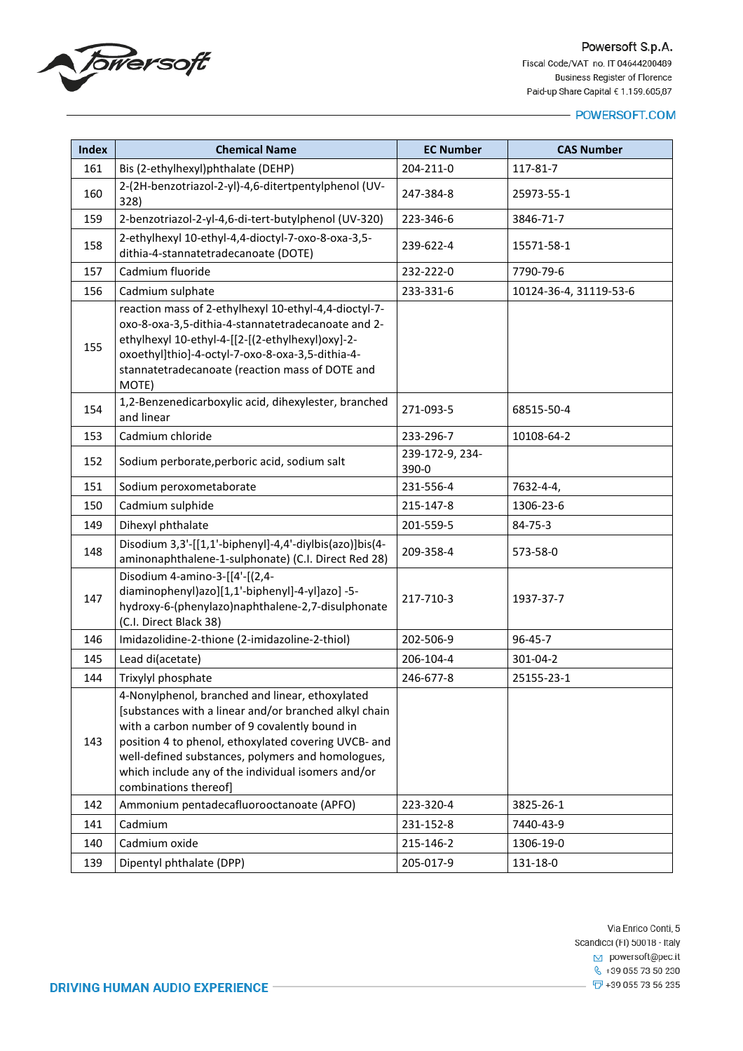

| <b>Index</b> | <b>Chemical Name</b>                                                                                                                                                                                                                                                                                                                                  | <b>EC Number</b>         | <b>CAS Number</b>      |
|--------------|-------------------------------------------------------------------------------------------------------------------------------------------------------------------------------------------------------------------------------------------------------------------------------------------------------------------------------------------------------|--------------------------|------------------------|
| 161          | Bis (2-ethylhexyl)phthalate (DEHP)                                                                                                                                                                                                                                                                                                                    | 204-211-0                | 117-81-7               |
| 160          | 2-(2H-benzotriazol-2-yl)-4,6-ditertpentylphenol (UV-<br>328)                                                                                                                                                                                                                                                                                          | 247-384-8                | 25973-55-1             |
| 159          | 2-benzotriazol-2-yl-4,6-di-tert-butylphenol (UV-320)                                                                                                                                                                                                                                                                                                  | 223-346-6                | 3846-71-7              |
| 158          | 2-ethylhexyl 10-ethyl-4,4-dioctyl-7-oxo-8-oxa-3,5-<br>dithia-4-stannatetradecanoate (DOTE)                                                                                                                                                                                                                                                            | 239-622-4                | 15571-58-1             |
| 157          | Cadmium fluoride                                                                                                                                                                                                                                                                                                                                      | 232-222-0                | 7790-79-6              |
| 156          | Cadmium sulphate                                                                                                                                                                                                                                                                                                                                      | 233-331-6                | 10124-36-4, 31119-53-6 |
| 155          | reaction mass of 2-ethylhexyl 10-ethyl-4,4-dioctyl-7-<br>oxo-8-oxa-3,5-dithia-4-stannatetradecanoate and 2-<br>ethylhexyl 10-ethyl-4-[[2-[(2-ethylhexyl)oxy]-2-<br>oxoethyl]thio]-4-octyl-7-oxo-8-oxa-3,5-dithia-4-<br>stannatetradecanoate (reaction mass of DOTE and<br>MOTE)                                                                       |                          |                        |
| 154          | 1,2-Benzenedicarboxylic acid, dihexylester, branched<br>and linear                                                                                                                                                                                                                                                                                    | 271-093-5                | 68515-50-4             |
| 153          | Cadmium chloride                                                                                                                                                                                                                                                                                                                                      | 233-296-7                | 10108-64-2             |
| 152          | Sodium perborate, perboric acid, sodium salt                                                                                                                                                                                                                                                                                                          | 239-172-9, 234-<br>390-0 |                        |
| 151          | Sodium peroxometaborate                                                                                                                                                                                                                                                                                                                               | 231-556-4                | 7632-4-4,              |
| 150          | Cadmium sulphide                                                                                                                                                                                                                                                                                                                                      | 215-147-8                | 1306-23-6              |
| 149          | Dihexyl phthalate                                                                                                                                                                                                                                                                                                                                     | 201-559-5                | 84-75-3                |
| 148          | Disodium 3,3'-[[1,1'-biphenyl]-4,4'-diylbis(azo)]bis(4-<br>aminonaphthalene-1-sulphonate) (C.I. Direct Red 28)                                                                                                                                                                                                                                        | 209-358-4                | 573-58-0               |
| 147          | Disodium 4-amino-3-[[4'-[(2,4-<br>diaminophenyl)azo][1,1'-biphenyl]-4-yl]azo] -5-<br>hydroxy-6-(phenylazo)naphthalene-2,7-disulphonate<br>(C.I. Direct Black 38)                                                                                                                                                                                      | 217-710-3                | 1937-37-7              |
| 146          | Imidazolidine-2-thione (2-imidazoline-2-thiol)                                                                                                                                                                                                                                                                                                        | 202-506-9                | 96-45-7                |
| 145          | Lead di(acetate)                                                                                                                                                                                                                                                                                                                                      | 206-104-4                | 301-04-2               |
| 144          | Trixylyl phosphate                                                                                                                                                                                                                                                                                                                                    | 246-677-8                | 25155-23-1             |
| 143          | 4-Nonylphenol, branched and linear, ethoxylated<br>[substances with a linear and/or branched alkyl chain<br>with a carbon number of 9 covalently bound in<br>position 4 to phenol, ethoxylated covering UVCB- and<br>well-defined substances, polymers and homologues,<br>which include any of the individual isomers and/or<br>combinations thereof] |                          |                        |
| 142          | Ammonium pentadecafluorooctanoate (APFO)                                                                                                                                                                                                                                                                                                              | 223-320-4                | 3825-26-1              |
| 141          | Cadmium                                                                                                                                                                                                                                                                                                                                               | 231-152-8                | 7440-43-9              |
| 140          | Cadmium oxide                                                                                                                                                                                                                                                                                                                                         | 215-146-2                | 1306-19-0              |
| 139          | Dipentyl phthalate (DPP)                                                                                                                                                                                                                                                                                                                              | 205-017-9                | 131-18-0               |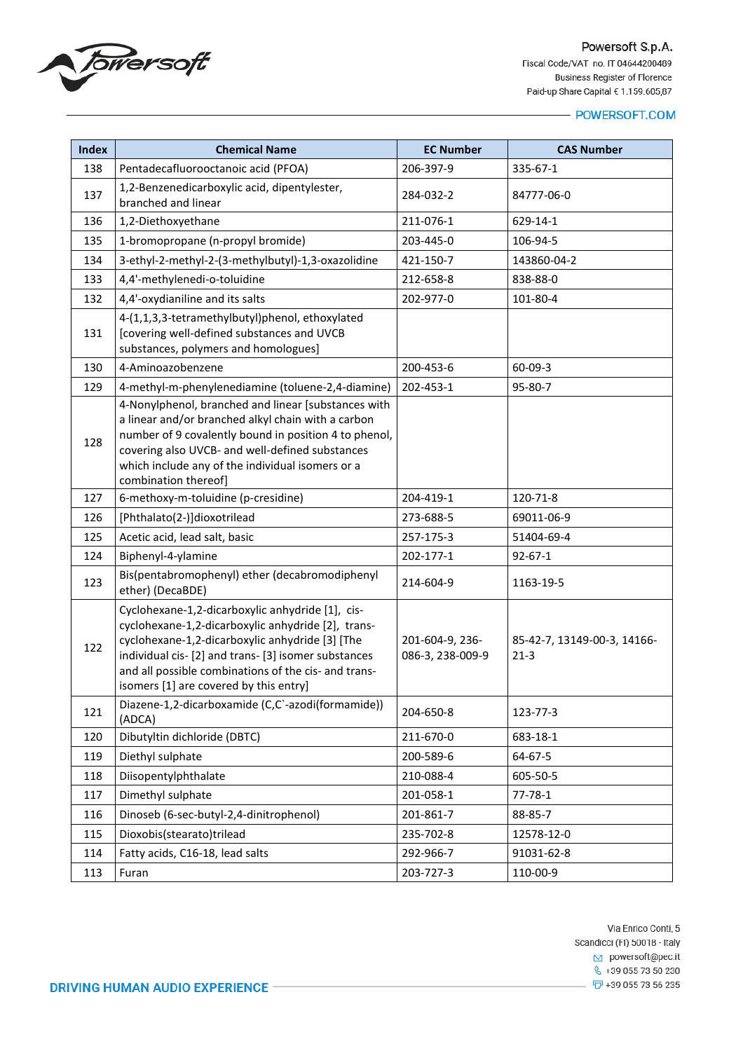

| <b>Index</b> | <b>Chemical Name</b>                                                                                                                                                                                                                                                                                                | <b>EC Number</b>                    | <b>CAS Number</b>                     |
|--------------|---------------------------------------------------------------------------------------------------------------------------------------------------------------------------------------------------------------------------------------------------------------------------------------------------------------------|-------------------------------------|---------------------------------------|
| 138          | Pentadecafluorooctanoic acid (PFOA)                                                                                                                                                                                                                                                                                 | 206-397-9                           | 335-67-1                              |
| 137          | 1,2-Benzenedicarboxylic acid, dipentylester,<br>branched and linear                                                                                                                                                                                                                                                 | 284-032-2                           | 84777-06-0                            |
| 136          | 1,2-Diethoxyethane                                                                                                                                                                                                                                                                                                  | 211-076-1                           | 629-14-1                              |
| 135          | 1-bromopropane (n-propyl bromide)                                                                                                                                                                                                                                                                                   | 203-445-0                           | 106-94-5                              |
| 134          | 3-ethyl-2-methyl-2-(3-methylbutyl)-1,3-oxazolidine                                                                                                                                                                                                                                                                  | 421-150-7                           | 143860-04-2                           |
| 133          | 4,4'-methylenedi-o-toluidine                                                                                                                                                                                                                                                                                        | 212-658-8                           | 838-88-0                              |
| 132          | 4,4'-oxydianiline and its salts                                                                                                                                                                                                                                                                                     | 202-977-0                           | 101-80-4                              |
| 131          | 4-(1,1,3,3-tetramethylbutyl)phenol, ethoxylated<br>[covering well-defined substances and UVCB<br>substances, polymers and homologues]                                                                                                                                                                               |                                     |                                       |
| 130          | 4-Aminoazobenzene                                                                                                                                                                                                                                                                                                   | 200-453-6                           | $60 - 09 - 3$                         |
| 129          | 4-methyl-m-phenylenediamine (toluene-2,4-diamine)                                                                                                                                                                                                                                                                   | 202-453-1                           | 95-80-7                               |
| 128          | 4-Nonylphenol, branched and linear [substances with<br>a linear and/or branched alkyl chain with a carbon<br>number of 9 covalently bound in position 4 to phenol,<br>covering also UVCB- and well-defined substances<br>which include any of the individual isomers or a<br>combination thereof]                   |                                     |                                       |
| 127          | 6-methoxy-m-toluidine (p-cresidine)                                                                                                                                                                                                                                                                                 | 204-419-1                           | 120-71-8                              |
| 126          | [Phthalato(2-)]dioxotrilead                                                                                                                                                                                                                                                                                         | 273-688-5                           | 69011-06-9                            |
| 125          | Acetic acid, lead salt, basic                                                                                                                                                                                                                                                                                       | 257-175-3                           | 51404-69-4                            |
| 124          | Biphenyl-4-ylamine                                                                                                                                                                                                                                                                                                  | 202-177-1                           | $92 - 67 - 1$                         |
| 123          | Bis(pentabromophenyl) ether (decabromodiphenyl<br>ether) (DecaBDE)                                                                                                                                                                                                                                                  | 214-604-9                           | 1163-19-5                             |
| 122          | Cyclohexane-1,2-dicarboxylic anhydride [1], cis-<br>cyclohexane-1,2-dicarboxylic anhydride [2], trans-<br>cyclohexane-1,2-dicarboxylic anhydride [3] [The<br>individual cis- [2] and trans- [3] isomer substances<br>and all possible combinations of the cis- and trans-<br>isomers [1] are covered by this entry] | 201-604-9, 236-<br>086-3, 238-009-9 | 85-42-7, 13149-00-3, 14166-<br>$21-3$ |
| 121          | Diazene-1,2-dicarboxamide (C,C`-azodi(formamide))<br>(ADCA)                                                                                                                                                                                                                                                         | 204-650-8                           | 123-77-3                              |
| 120          | Dibutyltin dichloride (DBTC)                                                                                                                                                                                                                                                                                        | 211-670-0                           | 683-18-1                              |
| 119          | Diethyl sulphate                                                                                                                                                                                                                                                                                                    | 200-589-6                           | 64-67-5                               |
| 118          | Diisopentylphthalate                                                                                                                                                                                                                                                                                                | 210-088-4                           | 605-50-5                              |
| 117          | Dimethyl sulphate                                                                                                                                                                                                                                                                                                   | 201-058-1                           | $77 - 78 - 1$                         |
| 116          | Dinoseb (6-sec-butyl-2,4-dinitrophenol)                                                                                                                                                                                                                                                                             | 201-861-7                           | 88-85-7                               |
| 115          | Dioxobis(stearato)trilead                                                                                                                                                                                                                                                                                           | 235-702-8                           | 12578-12-0                            |
| 114          | Fatty acids, C16-18, lead salts                                                                                                                                                                                                                                                                                     | 292-966-7                           | 91031-62-8                            |
| 113          | Furan                                                                                                                                                                                                                                                                                                               | 203-727-3                           | 110-00-9                              |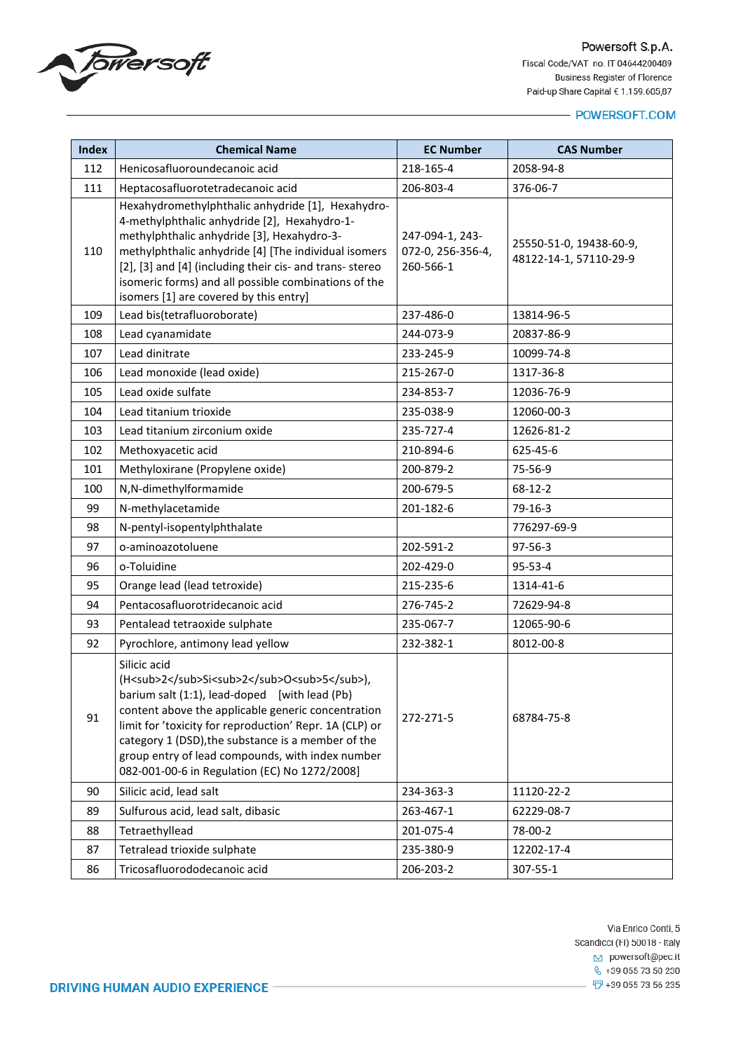

#### - POWERSOFT.COM

| <b>Index</b> | <b>Chemical Name</b>                                                                                                                                                                                                                                                                                                                                                                           | <b>EC Number</b>                                  | <b>CAS Number</b>                                 |
|--------------|------------------------------------------------------------------------------------------------------------------------------------------------------------------------------------------------------------------------------------------------------------------------------------------------------------------------------------------------------------------------------------------------|---------------------------------------------------|---------------------------------------------------|
| 112          | Henicosafluoroundecanoic acid                                                                                                                                                                                                                                                                                                                                                                  | 218-165-4                                         | 2058-94-8                                         |
| 111          | Heptacosafluorotetradecanoic acid                                                                                                                                                                                                                                                                                                                                                              | 206-803-4                                         | 376-06-7                                          |
| 110          | Hexahydromethylphthalic anhydride [1], Hexahydro-<br>4-methylphthalic anhydride [2], Hexahydro-1-<br>methylphthalic anhydride [3], Hexahydro-3-<br>methylphthalic anhydride [4] [The individual isomers<br>[2], [3] and [4] (including their cis- and trans- stereo<br>isomeric forms) and all possible combinations of the<br>isomers [1] are covered by this entry]                          | 247-094-1, 243-<br>072-0, 256-356-4,<br>260-566-1 | 25550-51-0, 19438-60-9,<br>48122-14-1, 57110-29-9 |
| 109          | Lead bis(tetrafluoroborate)                                                                                                                                                                                                                                                                                                                                                                    | 237-486-0                                         | 13814-96-5                                        |
| 108          | Lead cyanamidate                                                                                                                                                                                                                                                                                                                                                                               | 244-073-9                                         | 20837-86-9                                        |
| 107          | Lead dinitrate                                                                                                                                                                                                                                                                                                                                                                                 | 233-245-9                                         | 10099-74-8                                        |
| 106          | Lead monoxide (lead oxide)                                                                                                                                                                                                                                                                                                                                                                     | 215-267-0                                         | 1317-36-8                                         |
| 105          | Lead oxide sulfate                                                                                                                                                                                                                                                                                                                                                                             | 234-853-7                                         | 12036-76-9                                        |
| 104          | Lead titanium trioxide                                                                                                                                                                                                                                                                                                                                                                         | 235-038-9                                         | 12060-00-3                                        |
| 103          | Lead titanium zirconium oxide                                                                                                                                                                                                                                                                                                                                                                  | 235-727-4                                         | 12626-81-2                                        |
| 102          | Methoxyacetic acid                                                                                                                                                                                                                                                                                                                                                                             | 210-894-6                                         | 625-45-6                                          |
| 101          | Methyloxirane (Propylene oxide)                                                                                                                                                                                                                                                                                                                                                                | 200-879-2                                         | 75-56-9                                           |
| 100          | N,N-dimethylformamide                                                                                                                                                                                                                                                                                                                                                                          | 200-679-5                                         | $68-12-2$                                         |
| 99           | N-methylacetamide                                                                                                                                                                                                                                                                                                                                                                              | 201-182-6                                         | 79-16-3                                           |
| 98           | N-pentyl-isopentylphthalate                                                                                                                                                                                                                                                                                                                                                                    |                                                   | 776297-69-9                                       |
| 97           | o-aminoazotoluene                                                                                                                                                                                                                                                                                                                                                                              | 202-591-2                                         | 97-56-3                                           |
| 96           | o-Toluidine                                                                                                                                                                                                                                                                                                                                                                                    | 202-429-0                                         | 95-53-4                                           |
| 95           | Orange lead (lead tetroxide)                                                                                                                                                                                                                                                                                                                                                                   | 215-235-6                                         | 1314-41-6                                         |
| 94           | Pentacosafluorotridecanoic acid                                                                                                                                                                                                                                                                                                                                                                | 276-745-2                                         | 72629-94-8                                        |
| 93           | Pentalead tetraoxide sulphate                                                                                                                                                                                                                                                                                                                                                                  | 235-067-7                                         | 12065-90-6                                        |
| 92           | Pyrochlore, antimony lead yellow                                                                                                                                                                                                                                                                                                                                                               | 232-382-1                                         | 8012-00-8                                         |
| 91           | Silicic acid<br>(H <sub>2</sub> Si <sub>2</sub> O <sub>5</sub> ),<br>barium salt (1:1), lead-doped [with lead (Pb)<br>content above the applicable generic concentration<br>limit for 'toxicity for reproduction' Repr. 1A (CLP) or<br>category 1 (DSD), the substance is a member of the<br>group entry of lead compounds, with index number<br>082-001-00-6 in Regulation (EC) No 1272/2008] | 272-271-5                                         | 68784-75-8                                        |
| 90           | Silicic acid, lead salt                                                                                                                                                                                                                                                                                                                                                                        | 234-363-3                                         | 11120-22-2                                        |
| 89           | Sulfurous acid, lead salt, dibasic                                                                                                                                                                                                                                                                                                                                                             | 263-467-1                                         | 62229-08-7                                        |
| 88           | Tetraethyllead                                                                                                                                                                                                                                                                                                                                                                                 | 201-075-4                                         | 78-00-2                                           |
| 87           | Tetralead trioxide sulphate                                                                                                                                                                                                                                                                                                                                                                    | 235-380-9                                         | 12202-17-4                                        |
| 86           | Tricosafluorododecanoic acid                                                                                                                                                                                                                                                                                                                                                                   | 206-203-2                                         | 307-55-1                                          |

Via Enrico Conti, 5 Scandicci (FI) 50018 - Italy  $\boxed{\smash{\sim}}$  powersoft@pec.it  $\frac{1}{2}$  +39 055 73 50 230  $\overline{1}$  +39 055 73 56 235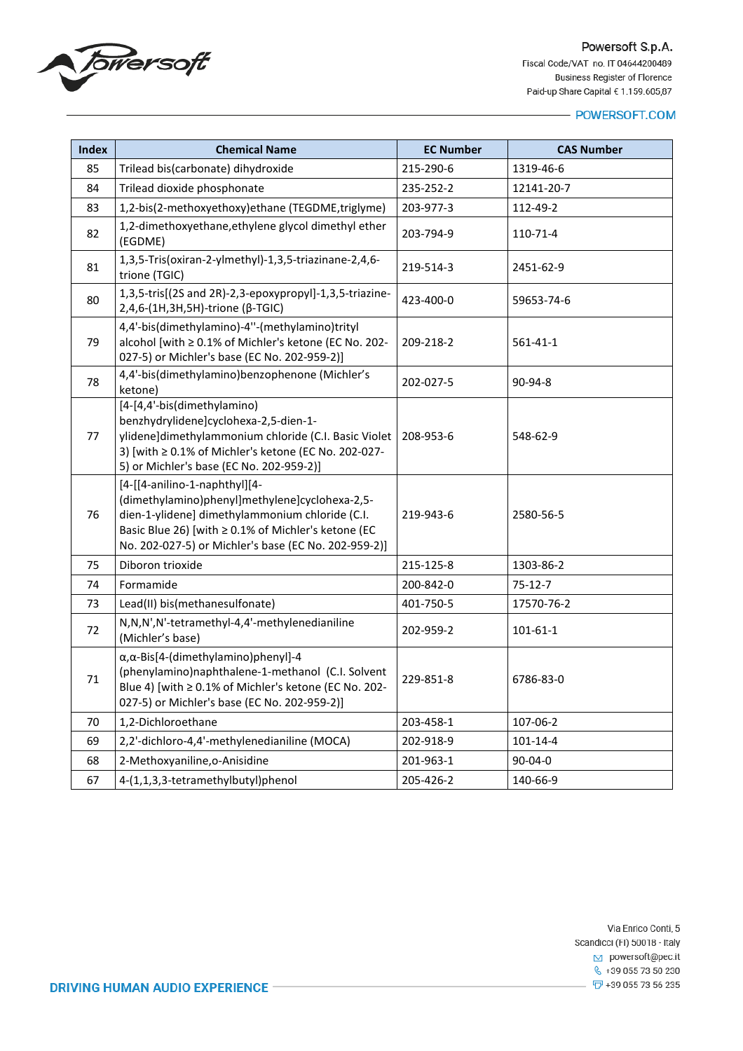

| <b>Index</b> | <b>Chemical Name</b>                                                                                                                                                                                                                              | <b>EC Number</b> | <b>CAS Number</b> |
|--------------|---------------------------------------------------------------------------------------------------------------------------------------------------------------------------------------------------------------------------------------------------|------------------|-------------------|
| 85           | Trilead bis(carbonate) dihydroxide                                                                                                                                                                                                                | 215-290-6        | 1319-46-6         |
| 84           | Trilead dioxide phosphonate                                                                                                                                                                                                                       | 235-252-2        | 12141-20-7        |
| 83           | 1,2-bis(2-methoxyethoxy)ethane (TEGDME,triglyme)                                                                                                                                                                                                  | 203-977-3        | 112-49-2          |
| 82           | 1,2-dimethoxyethane, ethylene glycol dimethyl ether<br>(EGDME)                                                                                                                                                                                    | 203-794-9        | 110-71-4          |
| 81           | 1,3,5-Tris(oxiran-2-ylmethyl)-1,3,5-triazinane-2,4,6-<br>trione (TGIC)                                                                                                                                                                            | 219-514-3        | 2451-62-9         |
| 80           | 1,3,5-tris[(2S and 2R)-2,3-epoxypropyl]-1,3,5-triazine-<br>2,4,6-(1H,3H,5H)-trione (β-TGIC)                                                                                                                                                       | 423-400-0        | 59653-74-6        |
| 79           | 4,4'-bis(dimethylamino)-4"-(methylamino)trityl<br>alcohol [with ≥ 0.1% of Michler's ketone (EC No. 202-<br>027-5) or Michler's base (EC No. 202-959-2)]                                                                                           | 209-218-2        | 561-41-1          |
| 78           | 4,4'-bis(dimethylamino)benzophenone (Michler's<br>ketone)                                                                                                                                                                                         | 202-027-5        | $90-94-8$         |
| 77           | [4-[4,4'-bis(dimethylamino)<br>benzhydrylidene]cyclohexa-2,5-dien-1-<br>ylidene]dimethylammonium chloride (C.I. Basic Violet<br>3) [with ≥ 0.1% of Michler's ketone (EC No. 202-027-<br>5) or Michler's base (EC No. 202-959-2)]                  | 208-953-6        | 548-62-9          |
| 76           | [4-[[4-anilino-1-naphthyl][4-<br>(dimethylamino)phenyl]methylene]cyclohexa-2,5-<br>dien-1-ylidene] dimethylammonium chloride (C.I.<br>Basic Blue 26) [with ≥ 0.1% of Michler's ketone (EC<br>No. 202-027-5) or Michler's base (EC No. 202-959-2)] | 219-943-6        | 2580-56-5         |
| 75           | Diboron trioxide                                                                                                                                                                                                                                  | 215-125-8        | 1303-86-2         |
| 74           | Formamide                                                                                                                                                                                                                                         | 200-842-0        | $75 - 12 - 7$     |
| 73           | Lead(II) bis(methanesulfonate)                                                                                                                                                                                                                    | 401-750-5        | 17570-76-2        |
| 72           | N,N,N',N'-tetramethyl-4,4'-methylenedianiline<br>(Michler's base)                                                                                                                                                                                 | 202-959-2        | 101-61-1          |
| 71           | α, α-Bis[4-(dimethylamino)phenyl]-4<br>(phenylamino)naphthalene-1-methanol (C.I. Solvent<br>Blue 4) [with ≥ 0.1% of Michler's ketone (EC No. 202-<br>027-5) or Michler's base (EC No. 202-959-2)]                                                 | 229-851-8        | 6786-83-0         |
| 70           | 1,2-Dichloroethane                                                                                                                                                                                                                                | 203-458-1        | 107-06-2          |
| 69           | 2,2'-dichloro-4,4'-methylenedianiline (MOCA)                                                                                                                                                                                                      | 202-918-9        | 101-14-4          |
| 68           | 2-Methoxyaniline, o-Anisidine                                                                                                                                                                                                                     | 201-963-1        | $90 - 04 - 0$     |
| 67           | 4-(1,1,3,3-tetramethylbutyl)phenol                                                                                                                                                                                                                | 205-426-2        | 140-66-9          |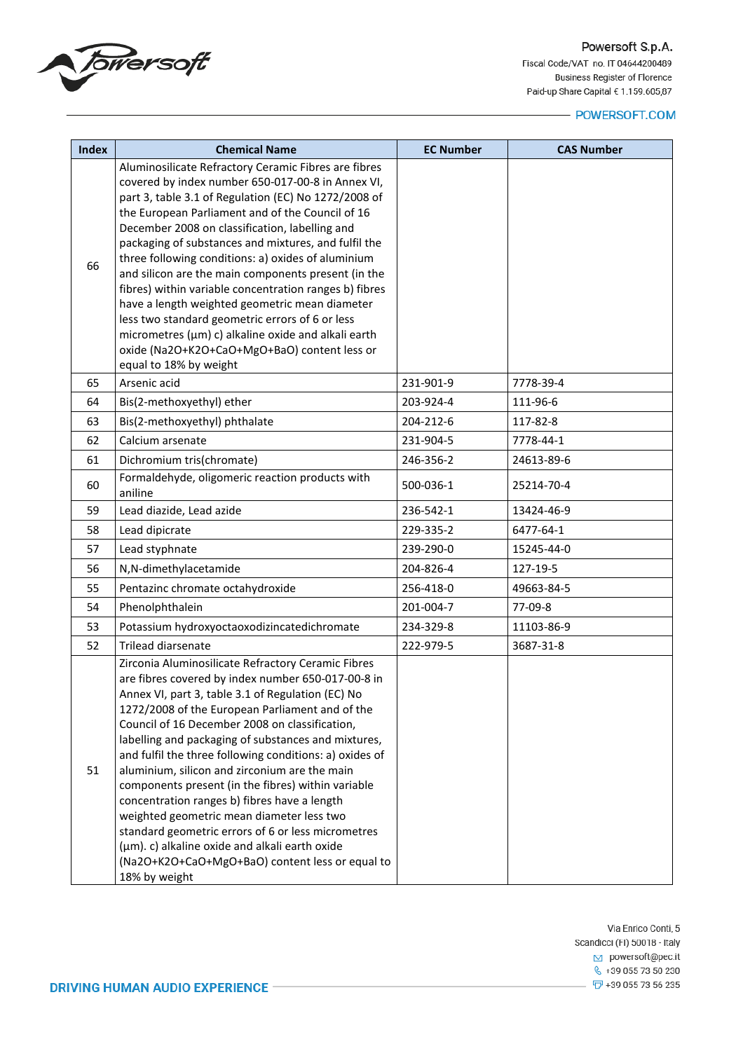

| <b>Index</b> | <b>Chemical Name</b>                                                                                                                                                                                                                                                                                                                                                                                                                                                                                                                                                                                                                                                                                                                                                 | <b>EC Number</b> | <b>CAS Number</b>    |
|--------------|----------------------------------------------------------------------------------------------------------------------------------------------------------------------------------------------------------------------------------------------------------------------------------------------------------------------------------------------------------------------------------------------------------------------------------------------------------------------------------------------------------------------------------------------------------------------------------------------------------------------------------------------------------------------------------------------------------------------------------------------------------------------|------------------|----------------------|
| 66<br>65     | Aluminosilicate Refractory Ceramic Fibres are fibres<br>covered by index number 650-017-00-8 in Annex VI,<br>part 3, table 3.1 of Regulation (EC) No 1272/2008 of<br>the European Parliament and of the Council of 16<br>December 2008 on classification, labelling and<br>packaging of substances and mixtures, and fulfil the<br>three following conditions: a) oxides of aluminium<br>and silicon are the main components present (in the<br>fibres) within variable concentration ranges b) fibres<br>have a length weighted geometric mean diameter<br>less two standard geometric errors of 6 or less<br>micrometres (µm) c) alkaline oxide and alkali earth<br>oxide (Na2O+K2O+CaO+MgO+BaO) content less or<br>equal to 18% by weight<br>Arsenic acid         | 231-901-9        | 7778-39-4            |
|              |                                                                                                                                                                                                                                                                                                                                                                                                                                                                                                                                                                                                                                                                                                                                                                      | 203-924-4        |                      |
| 64<br>63     | Bis(2-methoxyethyl) ether<br>Bis(2-methoxyethyl) phthalate                                                                                                                                                                                                                                                                                                                                                                                                                                                                                                                                                                                                                                                                                                           | 204-212-6        | 111-96-6<br>117-82-8 |
| 62           | Calcium arsenate                                                                                                                                                                                                                                                                                                                                                                                                                                                                                                                                                                                                                                                                                                                                                     | 231-904-5        | 7778-44-1            |
| 61           | Dichromium tris(chromate)                                                                                                                                                                                                                                                                                                                                                                                                                                                                                                                                                                                                                                                                                                                                            | 246-356-2        | 24613-89-6           |
| 60           | Formaldehyde, oligomeric reaction products with<br>aniline                                                                                                                                                                                                                                                                                                                                                                                                                                                                                                                                                                                                                                                                                                           | 500-036-1        | 25214-70-4           |
| 59           | Lead diazide, Lead azide                                                                                                                                                                                                                                                                                                                                                                                                                                                                                                                                                                                                                                                                                                                                             | 236-542-1        | 13424-46-9           |
| 58           | Lead dipicrate                                                                                                                                                                                                                                                                                                                                                                                                                                                                                                                                                                                                                                                                                                                                                       | 229-335-2        | 6477-64-1            |
| 57           | Lead styphnate                                                                                                                                                                                                                                                                                                                                                                                                                                                                                                                                                                                                                                                                                                                                                       | 239-290-0        | 15245-44-0           |
| 56           | N,N-dimethylacetamide                                                                                                                                                                                                                                                                                                                                                                                                                                                                                                                                                                                                                                                                                                                                                | 204-826-4        | 127-19-5             |
| 55           | Pentazinc chromate octahydroxide                                                                                                                                                                                                                                                                                                                                                                                                                                                                                                                                                                                                                                                                                                                                     | 256-418-0        | 49663-84-5           |
| 54           | Phenolphthalein                                                                                                                                                                                                                                                                                                                                                                                                                                                                                                                                                                                                                                                                                                                                                      | 201-004-7        | 77-09-8              |
| 53           | Potassium hydroxyoctaoxodizincatedichromate                                                                                                                                                                                                                                                                                                                                                                                                                                                                                                                                                                                                                                                                                                                          | 234-329-8        | 11103-86-9           |
| 52           | Trilead diarsenate                                                                                                                                                                                                                                                                                                                                                                                                                                                                                                                                                                                                                                                                                                                                                   | 222-979-5        | 3687-31-8            |
| 51           | Zirconia Aluminosilicate Refractory Ceramic Fibres<br>are fibres covered by index number 650-017-00-8 in<br>Annex VI, part 3, table 3.1 of Regulation (EC) No<br>1272/2008 of the European Parliament and of the<br>Council of 16 December 2008 on classification,<br>labelling and packaging of substances and mixtures,<br>and fulfil the three following conditions: a) oxides of<br>aluminium, silicon and zirconium are the main<br>components present (in the fibres) within variable<br>concentration ranges b) fibres have a length<br>weighted geometric mean diameter less two<br>standard geometric errors of 6 or less micrometres<br>(µm). c) alkaline oxide and alkali earth oxide<br>(Na2O+K2O+CaO+MgO+BaO) content less or equal to<br>18% by weight |                  |                      |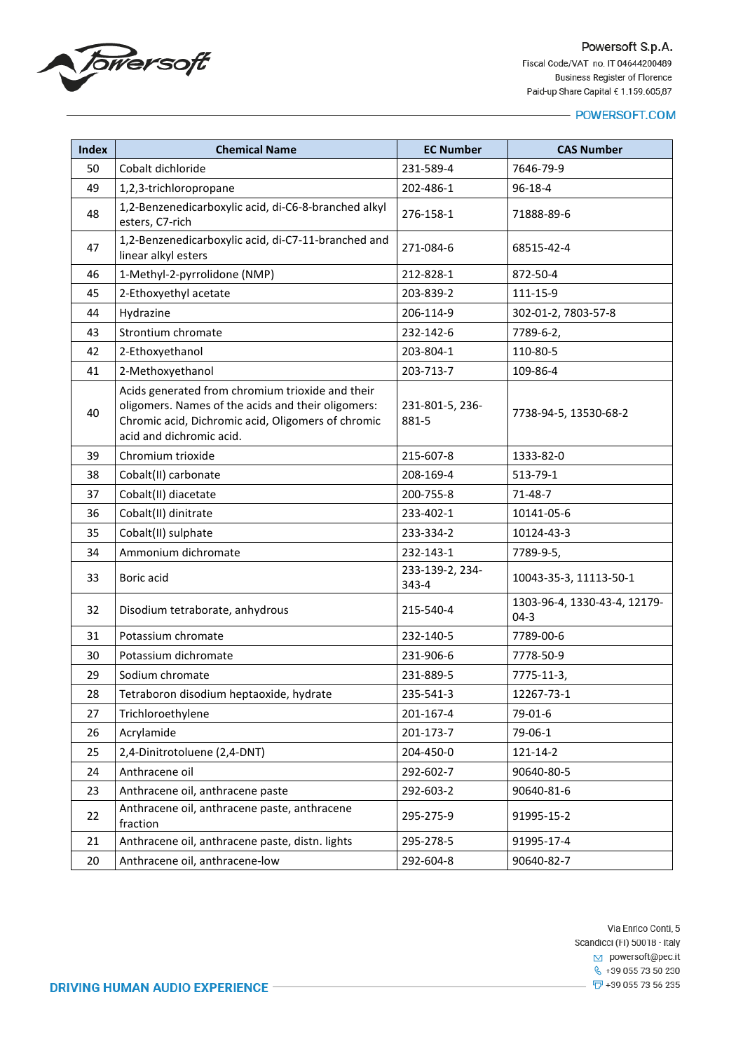

| <b>Index</b> | <b>Chemical Name</b>                                                                                                                                                                     | <b>EC Number</b>         | <b>CAS Number</b>                      |
|--------------|------------------------------------------------------------------------------------------------------------------------------------------------------------------------------------------|--------------------------|----------------------------------------|
| 50           | Cobalt dichloride                                                                                                                                                                        | 231-589-4                | 7646-79-9                              |
| 49           | 1,2,3-trichloropropane                                                                                                                                                                   | 202-486-1                | $96 - 18 - 4$                          |
| 48           | 1,2-Benzenedicarboxylic acid, di-C6-8-branched alkyl<br>esters, C7-rich                                                                                                                  | 276-158-1                | 71888-89-6                             |
| 47           | 1,2-Benzenedicarboxylic acid, di-C7-11-branched and<br>linear alkyl esters                                                                                                               | 271-084-6                | 68515-42-4                             |
| 46           | 1-Methyl-2-pyrrolidone (NMP)                                                                                                                                                             | 212-828-1                | 872-50-4                               |
| 45           | 2-Ethoxyethyl acetate                                                                                                                                                                    | 203-839-2                | 111-15-9                               |
| 44           | Hydrazine                                                                                                                                                                                | 206-114-9                | 302-01-2, 7803-57-8                    |
| 43           | Strontium chromate                                                                                                                                                                       | 232-142-6                | 7789-6-2,                              |
| 42           | 2-Ethoxyethanol                                                                                                                                                                          | 203-804-1                | 110-80-5                               |
| 41           | 2-Methoxyethanol                                                                                                                                                                         | 203-713-7                | 109-86-4                               |
| 40           | Acids generated from chromium trioxide and their<br>oligomers. Names of the acids and their oligomers:<br>Chromic acid, Dichromic acid, Oligomers of chromic<br>acid and dichromic acid. | 231-801-5, 236-<br>881-5 | 7738-94-5, 13530-68-2                  |
| 39           | Chromium trioxide                                                                                                                                                                        | 215-607-8                | 1333-82-0                              |
| 38           | Cobalt(II) carbonate                                                                                                                                                                     | 208-169-4                | 513-79-1                               |
| 37           | Cobalt(II) diacetate                                                                                                                                                                     | 200-755-8                | 71-48-7                                |
| 36           | Cobalt(II) dinitrate                                                                                                                                                                     | 233-402-1                | 10141-05-6                             |
| 35           | Cobalt(II) sulphate                                                                                                                                                                      | 233-334-2                | 10124-43-3                             |
| 34           | Ammonium dichromate                                                                                                                                                                      | 232-143-1                | 7789-9-5,                              |
| 33           | Boric acid                                                                                                                                                                               | 233-139-2, 234-<br>343-4 | 10043-35-3, 11113-50-1                 |
| 32           | Disodium tetraborate, anhydrous                                                                                                                                                          | 215-540-4                | 1303-96-4, 1330-43-4, 12179-<br>$04-3$ |
| 31           | Potassium chromate                                                                                                                                                                       | 232-140-5                | 7789-00-6                              |
| 30           | Potassium dichromate                                                                                                                                                                     | 231-906-6                | 7778-50-9                              |
| 29           | Sodium chromate                                                                                                                                                                          | 231-889-5                | 7775-11-3,                             |
| 28           | Tetraboron disodium heptaoxide, hydrate                                                                                                                                                  | 235-541-3                | 12267-73-1                             |
| 27           | Trichloroethylene                                                                                                                                                                        | 201-167-4                | 79-01-6                                |
| 26           | Acrylamide                                                                                                                                                                               | 201-173-7                | 79-06-1                                |
| 25           | 2,4-Dinitrotoluene (2,4-DNT)                                                                                                                                                             | 204-450-0                | 121-14-2                               |
| 24           | Anthracene oil                                                                                                                                                                           | 292-602-7                | 90640-80-5                             |
| 23           | Anthracene oil, anthracene paste                                                                                                                                                         | 292-603-2                | 90640-81-6                             |
| 22           | Anthracene oil, anthracene paste, anthracene<br>fraction                                                                                                                                 | 295-275-9                | 91995-15-2                             |
| 21           | Anthracene oil, anthracene paste, distn. lights                                                                                                                                          | 295-278-5                | 91995-17-4                             |
| 20           | Anthracene oil, anthracene-low                                                                                                                                                           | 292-604-8                | 90640-82-7                             |